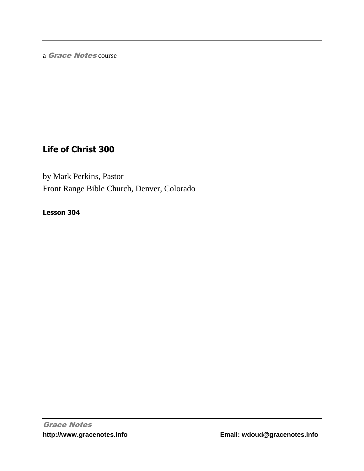a Grace Notes course

# **Life of Christ 300**

by Mark Perkins, Pastor Front Range Bible Church, Denver, Colorado

**Lesson 304**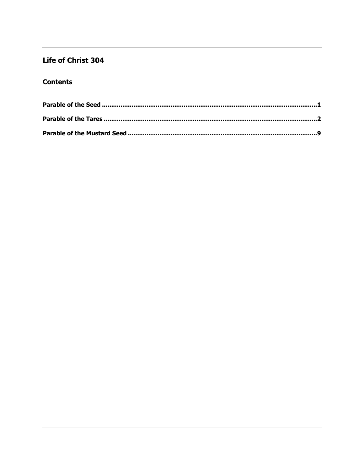## Life of Christ 304

### **Contents**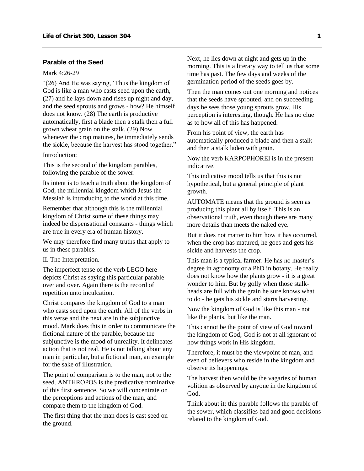### <span id="page-2-0"></span>**Parable of the Seed**

#### Mark 4:26-29

"(26) And He was saying, 'Thus the kingdom of God is like a man who casts seed upon the earth, (27) and he lays down and rises up night and day, and the seed sprouts and grows - how? He himself does not know. (28) The earth is productive automatically, first a blade then a stalk then a full grown wheat grain on the stalk. (29) Now whenever the crop matures, he immediately sends the sickle, because the harvest has stood together."

#### Introduction:

This is the second of the kingdom parables, following the parable of the sower.

Its intent is to teach a truth about the kingdom of God; the millennial kingdom which Jesus the Messiah is introducing to the world at this time.

Remember that although this is the millennial kingdom of Christ some of these things may indeed be dispensational constants - things which are true in every era of human history.

We may therefore find many truths that apply to us in these parables.

II. The Interpretation.

The imperfect tense of the verb LEGO here depicts Christ as saying this particular parable over and over. Again there is the record of repetition unto inculcation.

Christ compares the kingdom of God to a man who casts seed upon the earth. All of the verbs in this verse and the next are in the subjunctive mood. Mark does this in order to communicate the fictional nature of the parable, because the subjunctive is the mood of unreality. It delineates action that is not real. He is not talking about any man in particular, but a fictional man, an example for the sake of illustration.

The point of comparison is to the man, not to the seed. ANTHROPOS is the predicative nominative of this first sentence. So we will concentrate on the perceptions and actions of the man, and compare them to the kingdom of God.

The first thing that the man does is cast seed on the ground.

Next, he lies down at night and gets up in the morning. This is a literary way to tell us that some time has past. The few days and weeks of the germination period of the seeds goes by.

Then the man comes out one morning and notices that the seeds have sprouted, and on succeeding days he sees those young sprouts grow. His perception is interesting, though. He has no clue as to how all of this has happened.

From his point of view, the earth has automatically produced a blade and then a stalk and then a stalk laden with grain.

Now the verb KARPOPHOREI is in the present indicative.

This indicative mood tells us that this is not hypothetical, but a general principle of plant growth.

AUTOMATE means that the ground is seen as producing this plant all by itself. This is an observational truth, even though there are many more details than meets the naked eye.

But it does not matter to him how it has occurred, when the crop has matured, he goes and gets his sickle and harvests the crop.

This man is a typical farmer. He has no master's degree in agronomy or a PhD in botany. He really does not know how the plants grow - it is a great wonder to him. But by golly when those stalkheads are full with the grain he sure knows what to do - he gets his sickle and starts harvesting.

Now the kingdom of God is like this man - not like the plants, but like the man.

This cannot be the point of view of God toward the kingdom of God; God is not at all ignorant of how things work in His kingdom.

Therefore, it must be the viewpoint of man, and even of believers who reside in the kingdom and observe its happenings.

The harvest then would be the vagaries of human volition as observed by anyone in the kingdom of God.

Think about it: this parable follows the parable of the sower, which classifies bad and good decisions related to the kingdom of God.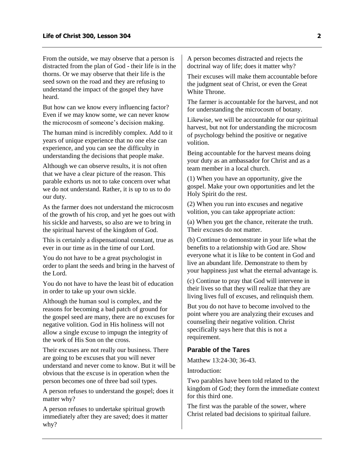From the outside, we may observe that a person is distracted from the plan of God - their life is in the thorns. Or we may observe that their life is the seed sown on the road and they are refusing to understand the impact of the gospel they have heard.

But how can we know every influencing factor? Even if we may know some, we can never know the microcosm of someone's decision making.

The human mind is incredibly complex. Add to it years of unique experience that no one else can experience, and you can see the difficulty in understanding the decisions that people make.

Although we can observe results, it is not often that we have a clear picture of the reason. This parable exhorts us not to take concern over what we do not understand. Rather, it is up to us to do our duty.

As the farmer does not understand the microcosm of the growth of his crop, and yet he goes out with his sickle and harvests, so also are we to bring in the spiritual harvest of the kingdom of God.

This is certainly a dispensational constant, true as ever in our time as in the time of our Lord.

You do not have to be a great psychologist in order to plant the seeds and bring in the harvest of the Lord.

You do not have to have the least bit of education in order to take up your own sickle.

Although the human soul is complex, and the reasons for becoming a bad patch of ground for the gospel seed are many, there are no excuses for negative volition. God in His holiness will not allow a single excuse to impugn the integrity of the work of His Son on the cross.

Their excuses are not really our business. There are going to be excuses that you will never understand and never come to know. But it will be obvious that the excuse is in operation when the person becomes one of three bad soil types.

A person refuses to understand the gospel; does it matter why?

A person refuses to undertake spiritual growth immediately after they are saved; does it matter why?

A person becomes distracted and rejects the doctrinal way of life; does it matter why?

Their excuses will make them accountable before the judgment seat of Christ, or even the Great White Throne.

The farmer is accountable for the harvest, and not for understanding the microcosm of botany.

Likewise, we will be accountable for our spiritual harvest, but not for understanding the microcosm of psychology behind the positive or negative volition.

Being accountable for the harvest means doing your duty as an ambassador for Christ and as a team member in a local church.

(1) When you have an opportunity, give the gospel. Make your own opportunities and let the Holy Spirit do the rest.

(2) When you run into excuses and negative volition, you can take appropriate action:

(a) When you get the chance, reiterate the truth. Their excuses do not matter.

(b) Continue to demonstrate in your life what the benefits to a relationship with God are. Show everyone what it is like to be content in God and live an abundant life. Demonstrate to them by your happiness just what the eternal advantage is.

(c) Continue to pray that God will intervene in their lives so that they will realize that they are living lives full of excuses, and relinquish them.

But you do not have to become involved to the point where you are analyzing their excuses and counseling their negative volition. Christ specifically says here that this is not a requirement.

#### <span id="page-3-0"></span>**Parable of the Tares**

Matthew 13:24-30; 36-43.

Introduction:

Two parables have been told related to the kingdom of God; they form the immediate context for this third one.

The first was the parable of the sower, where Christ related bad decisions to spiritual failure.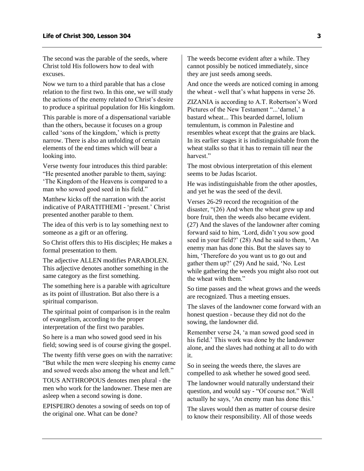The second was the parable of the seeds, where Christ told His followers how to deal with excuses.

Now we turn to a third parable that has a close relation to the first two. In this one, we will study the actions of the enemy related to Christ's desire to produce a spiritual population for His kingdom.

This parable is more of a dispensational variable than the others, because it focuses on a group called 'sons of the kingdom,' which is pretty narrow. There is also an unfolding of certain elements of the end times which will bear a looking into.

Verse twenty four introduces this third parable: "He presented another parable to them, saying: 'The Kingdom of the Heavens is compared to a man who sowed good seed in his field."

Matthew kicks off the narration with the aorist indicative of PARATITHEMI - 'present.' Christ presented another parable to them.

The idea of this verb is to lay something next to someone as a gift or an offering.

So Christ offers this to His disciples; He makes a formal presentation to them.

The adjective ALLEN modifies PARABOLEN. This adjective denotes another something in the same category as the first something.

The something here is a parable with agriculture as its point of illustration. But also there is a spiritual comparison.

The spiritual point of comparison is in the realm of evangelism, according to the proper interpretation of the first two parables.

So here is a man who sowed good seed in his field; sowing seed is of course giving the gospel.

The twenty fifth verse goes on with the narrative: "But while the men were sleeping his enemy came and sowed weeds also among the wheat and left."

TOUS ANTHROPOUS denotes men plural - the men who work for the landowner. These men are asleep when a second sowing is done.

EPISPEIRO denotes a sowing of seeds on top of the original one. What can be done?

The weeds become evident after a while. They cannot possibly be noticed immediately, since they are just seeds among seeds.

And once the weeds are noticed coming in among the wheat - well that's what happens in verse 26.

ZIZANIA is according to A.T. Robertson's Word Pictures of the New Testament "...'darnel,' a bastard wheat... This bearded darnel, lolium temulentum, is common in Palestine and resembles wheat except that the grains are black. In its earlier stages it is indistinguishable from the wheat stalks so that it has to remain till near the harvest"

The most obvious interpretation of this element seems to be Judas Iscariot.

He was indistinguishable from the other apostles, and yet he was the seed of the devil.

Verses 26-29 record the recognition of the disaster, "(26) And when the wheat grew up and bore fruit, then the weeds also became evident. (27) And the slaves of the landowner after coming forward said to him, 'Lord, didn't you sow good seed in your field?' (28) And he said to them, 'An enemy man has done this. But the slaves say to him, 'Therefore do you want us to go out and gather them up?' (29) And he said, 'No. Lest while gathering the weeds you might also root out the wheat with them."

So time passes and the wheat grows and the weeds are recognized. Thus a meeting ensues.

The slaves of the landowner come forward with an honest question - because they did not do the sowing, the landowner did.

Remember verse 24, 'a man sowed good seed in his field.' This work was done by the landowner alone, and the slaves had nothing at all to do with it.

So in seeing the weeds there, the slaves are compelled to ask whether he sowed good seed.

The landowner would naturally understand their question, and would say - "Of course not." Well actually he says, 'An enemy man has done this.'

The slaves would then as matter of course desire to know their responsibility. All of those weeds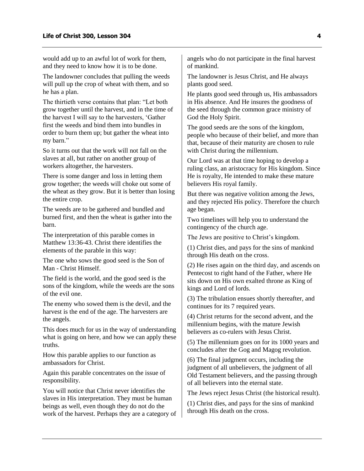would add up to an awful lot of work for them, and they need to know how it is to be done.

The landowner concludes that pulling the weeds will pull up the crop of wheat with them, and so he has a plan.

The thirtieth verse contains that plan: "Let both grow together until the harvest, and in the time of the harvest I will say to the harvesters, 'Gather first the weeds and bind them into bundles in order to burn them up; but gather the wheat into my barn."

So it turns out that the work will not fall on the slaves at all, but rather on another group of workers altogether, the harvesters.

There is some danger and loss in letting them grow together; the weeds will choke out some of the wheat as they grow. But it is better than losing the entire crop.

The weeds are to be gathered and bundled and burned first, and then the wheat is gather into the barn.

The interpretation of this parable comes in Matthew 13:36-43. Christ there identifies the elements of the parable in this way:

The one who sows the good seed is the Son of Man - Christ Himself.

The field is the world, and the good seed is the sons of the kingdom, while the weeds are the sons of the evil one.

The enemy who sowed them is the devil, and the harvest is the end of the age. The harvesters are the angels.

This does much for us in the way of understanding what is going on here, and how we can apply these truths.

How this parable applies to our function as ambassadors for Christ.

Again this parable concentrates on the issue of responsibility.

You will notice that Christ never identifies the slaves in His interpretation. They must be human beings as well, even though they do not do the work of the harvest. Perhaps they are a category of angels who do not participate in the final harvest of mankind.

The landowner is Jesus Christ, and He always plants good seed.

He plants good seed through us, His ambassadors in His absence. And He insures the goodness of the seed through the common grace ministry of God the Holy Spirit.

The good seeds are the sons of the kingdom, people who because of their belief, and more than that, because of their maturity are chosen to rule with Christ during the millennium.

Our Lord was at that time hoping to develop a ruling class, an aristocracy for His kingdom. Since He is royalty, He intended to make these mature believers His royal family.

But there was negative volition among the Jews, and they rejected His policy. Therefore the church age began.

Two timelines will help you to understand the contingency of the church age.

The Jews are positive to Christ's kingdom.

(1) Christ dies, and pays for the sins of mankind through His death on the cross.

(2) He rises again on the third day, and ascends on Pentecost to right hand of the Father, where He sits down on His own exalted throne as King of kings and Lord of lords.

(3) The tribulation ensues shortly thereafter, and continues for its 7 required years.

(4) Christ returns for the second advent, and the millennium begins, with the mature Jewish believers as co-rulers with Jesus Christ.

(5) The millennium goes on for its 1000 years and concludes after the Gog and Magog revolution.

(6) The final judgment occurs, including the judgment of all unbelievers, the judgment of all Old Testament believers, and the passing through of all believers into the eternal state.

The Jews reject Jesus Christ (the historical result).

(1) Christ dies, and pays for the sins of mankind through His death on the cross.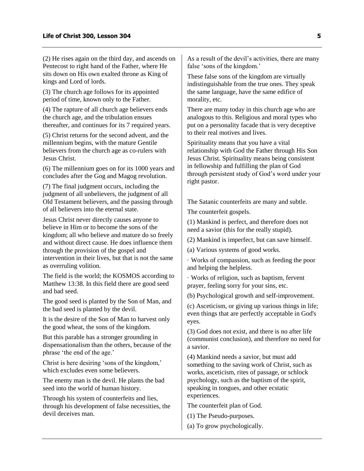(2) He rises again on the third day, and ascends on Pentecost to right hand of the Father, where He sits down on His own exalted throne as King of kings and Lord of lords.

(3) The church age follows for its appointed period of time, known only to the Father.

(4) The rapture of all church age believers ends the church age, and the tribulation ensues thereafter, and continues for its 7 required years.

(5) Christ returns for the second advent, and the millennium begins, with the mature Gentile believers from the church age as co-rulers with Jesus Christ.

(6) The millennium goes on for its 1000 years and concludes after the Gog and Magog revolution.

(7) The final judgment occurs, including the judgment of all unbelievers, the judgment of all Old Testament believers, and the passing through of all believers into the eternal state.

Jesus Christ never directly causes anyone to believe in Him or to become the sons of the kingdom; all who believe and mature do so freely and without direct cause. He does influence them through the provision of the gospel and intervention in their lives, but that is not the same as overruling volition.

The field is the world; the KOSMOS according to Matthew 13:38. In this field there are good seed and bad seed.

The good seed is planted by the Son of Man, and the bad seed is planted by the devil.

It is the desire of the Son of Man to harvest only the good wheat, the sons of the kingdom.

But this parable has a stronger grounding in dispensationalism than the others, because of the phrase 'the end of the age.'

Christ is here desiring 'sons of the kingdom,' which excludes even some believers.

The enemy man is the devil. He plants the bad seed into the world of human history.

Through his system of counterfeits and lies, through his development of false necessities, the devil deceives man.

As a result of the devil's activities, there are many false 'sons of the kingdom.'

These false sons of the kingdom are virtually indistinguishable from the true ones. They speak the same language, have the same edifice of morality, etc.

There are many today in this church age who are analogous to this. Religious and moral types who put on a personality facade that is very deceptive to their real motives and lives.

Spirituality means that you have a vital relationship with God the Father through His Son Jesus Christ. Spirituality means being consistent in fellowship and fulfilling the plan of God through persistent study of God's word under your right pastor.

The Satanic counterfeits are many and subtle.

The counterfeit gospels.

(1) Mankind is perfect, and therefore does not need a savior (this for the really stupid).

(2) Mankind is imperfect, but can save himself.

(a) Various systems of good works.

· Works of compassion, such as feeding the poor and helping the helpless.

· Works of religion, such as baptism, fervent prayer, feeling sorry for your sins, etc.

(b) Psychological growth and self-improvement.

(c) Asceticism, or giving up various things in life; even things that are perfectly acceptable in God's eyes.

(3) God does not exist, and there is no after life (communist conclusion), and therefore no need for a savior.

(4) Mankind needs a savior, but must add something to the saving work of Christ, such as works, asceticism, rites of passage, or schlock psychology, such as the baptism of the spirit, speaking in tongues, and other ecstatic experiences.

The counterfeit plan of God.

- (1) The Pseudo-purposes.
- (a) To grow psychologically.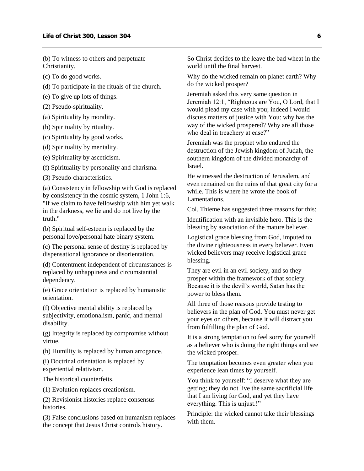(b) To witness to others and perpetuate Christianity.

(c) To do good works.

(d) To participate in the rituals of the church.

(e) To give up lots of things.

(2) Pseudo-spirituality.

(a) Spirituality by morality.

(b) Spirituality by rituality.

(c) Spirituality by good works.

(d) Spirituality by mentality.

(e) Spirituality by asceticism.

(f) Spirituality by personality and charisma.

(3) Pseudo-characteristics.

(a) Consistency in fellowship with God is replaced by consistency in the cosmic system, 1 John 1:6, "If we claim to have fellowship with him yet walk in the darkness, we lie and do not live by the truth."

(b) Spiritual self-esteem is replaced by the personal love/personal hate binary system.

(c) The personal sense of destiny is replaced by dispensational ignorance or disorientation.

(d) Contentment independent of circumstances is replaced by unhappiness and circumstantial dependency.

(e) Grace orientation is replaced by humanistic orientation.

(f) Objective mental ability is replaced by subjectivity, emotionalism, panic, and mental disability.

(g) Integrity is replaced by compromise without virtue.

(h) Humility is replaced by human arrogance.

(i) Doctrinal orientation is replaced by experiential relativism.

The historical counterfeits.

(1) Evolution replaces creationism.

(2) Revisionist histories replace consensus histories.

(3) False conclusions based on humanism replaces the concept that Jesus Christ controls history.

So Christ decides to the leave the bad wheat in the world until the final harvest.

Why do the wicked remain on planet earth? Why do the wicked prosper?

Jeremiah asked this very same question in Jeremiah 12:1, "Righteous are You, O Lord, that I would plead my case with you; indeed I would discuss matters of justice with You: why has the way of the wicked prospered? Why are all those who deal in treachery at ease?"

Jeremiah was the prophet who endured the destruction of the Jewish kingdom of Judah, the southern kingdom of the divided monarchy of Israel.

He witnessed the destruction of Jerusalem, and even remained on the ruins of that great city for a while. This is where he wrote the book of Lamentations.

Col. Thieme has suggested three reasons for this:

Identification with an invisible hero. This is the blessing by association of the mature believer.

Logistical grace blessing from God, imputed to the divine righteousness in every believer. Even wicked believers may receive logistical grace blessing.

They are evil in an evil society, and so they prosper within the framework of that society. Because it is the devil's world, Satan has the power to bless them.

All three of those reasons provide testing to believers in the plan of God. You must never get your eyes on others, because it will distract you from fulfilling the plan of God.

It is a strong temptation to feel sorry for yourself as a believer who is doing the right things and see the wicked prosper.

The temptation becomes even greater when you experience lean times by yourself.

You think to yourself: "I deserve what they are getting; they do not live the same sacrificial life that I am living for God, and yet they have everything. This is unjust.!"

Principle: the wicked cannot take their blessings with them.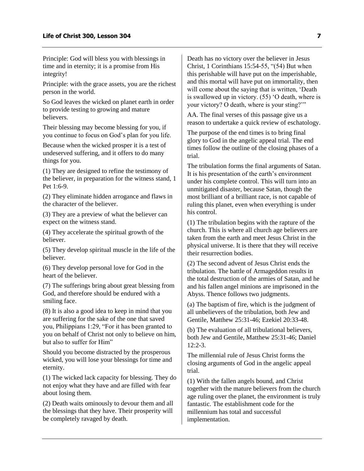Principle: God will bless you with blessings in time and in eternity; it is a promise from His integrity!

Principle: with the grace assets, you are the richest person in the world.

So God leaves the wicked on planet earth in order to provide testing to growing and mature believers.

Their blessing may become blessing for you, if you continue to focus on God's plan for you life.

Because when the wicked prosper it is a test of undeserved suffering, and it offers to do many things for you.

(1) They are designed to refine the testimony of the believer, in preparation for the witness stand, 1 Pet 1:6-9.

(2) They eliminate hidden arrogance and flaws in the character of the believer.

(3) They are a preview of what the believer can expect on the witness stand.

(4) They accelerate the spiritual growth of the believer.

(5) They develop spiritual muscle in the life of the believer.

(6) They develop personal love for God in the heart of the believer.

(7) The sufferings bring about great blessing from God, and therefore should be endured with a smiling face.

(8) It is also a good idea to keep in mind that you are suffering for the sake of the one that saved you, Philippians 1:29, "For it has been granted to you on behalf of Christ not only to believe on him, but also to suffer for Him"

Should you become distracted by the prosperous wicked, you will lose your blessings for time and eternity.

(1) The wicked lack capacity for blessing. They do not enjoy what they have and are filled with fear about losing them.

(2) Death waits ominously to devour them and all the blessings that they have. Their prosperity will be completely ravaged by death.

Death has no victory over the believer in Jesus Christ, 1 Corinthians 15:54-55, "(54) But when this perishable will have put on the imperishable, and this mortal will have put on immortality, then will come about the saying that is written, 'Death is swallowed up in victory. (55) 'O death, where is your victory? O death, where is your sting?'"

AA. The final verses of this passage give us a reason to undertake a quick review of eschatology.

The purpose of the end times is to bring final glory to God in the angelic appeal trial. The end times follow the outline of the closing phases of a trial.

The tribulation forms the final arguments of Satan. It is his presentation of the earth's environment under his complete control. This will turn into an unmitigated disaster, because Satan, though the most brilliant of a brilliant race, is not capable of ruling this planet, even when everything is under his control.

(1) The tribulation begins with the rapture of the church. This is where all church age believers are taken from the earth and meet Jesus Christ in the physical universe. It is there that they will receive their resurrection bodies.

(2) The second advent of Jesus Christ ends the tribulation. The battle of Armageddon results in the total destruction of the armies of Satan, and he and his fallen angel minions are imprisoned in the Abyss. Thence follows two judgments.

(a) The baptism of fire, which is the judgment of all unbelievers of the tribulation, both Jew and Gentile, Matthew 25:31-46; Ezekiel 20:33-48.

(b) The evaluation of all tribulational believers, both Jew and Gentile, Matthew 25:31-46; Daniel  $12:2-3$ .

The millennial rule of Jesus Christ forms the closing arguments of God in the angelic appeal trial.

(1) With the fallen angels bound, and Christ together with the mature believers from the church age ruling over the planet, the environment is truly fantastic. The establishment code for the millennium has total and successful implementation.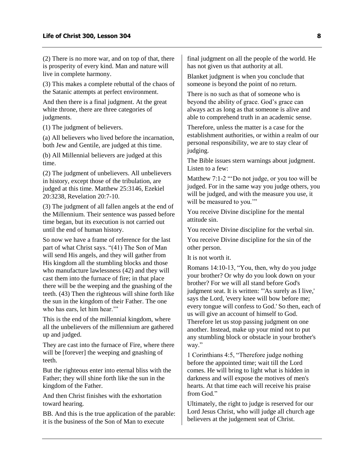(2) There is no more war, and on top of that, there is prosperity of every kind. Man and nature will live in complete harmony.

(3) This makes a complete rebuttal of the chaos of the Satanic attempts at perfect environment.

And then there is a final judgment. At the great white throne, there are three categories of judgments.

(1) The judgment of believers.

(a) All believers who lived before the incarnation, both Jew and Gentile, are judged at this time.

(b) All Millennial believers are judged at this time.

(2) The judgment of unbelievers. All unbelievers in history, except those of the tribulation, are judged at this time. Matthew 25:3146, Ezekiel 20:3238, Revelation 20:7-10.

(3) The judgment of all fallen angels at the end of the Millennium. Their sentence was passed before time began, but its execution is not carried out until the end of human history.

So now we have a frame of reference for the last part of what Christ says. "(41) The Son of Man will send His angels, and they will gather from His kingdom all the stumbling blocks and those who manufacture lawlessness (42) and they will cast them into the furnace of fire; in that place there will be the weeping and the gnashing of the teeth. (43) Then the righteous will shine forth like the sun in the kingdom of their Father. The one who has ears, let him hear.""

This is the end of the millennial kingdom, where all the unbelievers of the millennium are gathered up and judged.

They are cast into the furnace of Fire, where there will be [forever] the weeping and gnashing of teeth.

But the righteous enter into eternal bliss with the Father; they will shine forth like the sun in the kingdom of the Father.

And then Christ finishes with the exhortation toward hearing.

BB. And this is the true application of the parable: it is the business of the Son of Man to execute

final judgment on all the people of the world. He has not given us that authority at all.

Blanket judgment is when you conclude that someone is beyond the point of no return.

There is no such as that of someone who is beyond the ability of grace. God's grace can always act as long as that someone is alive and able to comprehend truth in an academic sense.

Therefore, unless the matter is a case for the establishment authorities, or within a realm of our personal responsibility, we are to stay clear of judging.

The Bible issues stern warnings about judgment. Listen to a few:

Matthew 7:1-2 "'Do not judge, or you too will be judged. For in the same way you judge others, you will be judged, and with the measure you use, it will be measured to you."

You receive Divine discipline for the mental attitude sin.

You receive Divine discipline for the verbal sin.

You receive Divine discipline for the sin of the other person.

It is not worth it.

Romans 14:10-13, "You, then, why do you judge your brother? Or why do you look down on your brother? For we will all stand before God's judgment seat. It is written: "'As surely as I live,' says the Lord, 'every knee will bow before me; every tongue will confess to God.' So then, each of us will give an account of himself to God. Therefore let us stop passing judgment on one another. Instead, make up your mind not to put any stumbling block or obstacle in your brother's way."

1 Corinthians 4:5, "Therefore judge nothing before the appointed time; wait till the Lord comes. He will bring to light what is hidden in darkness and will expose the motives of men's hearts. At that time each will receive his praise from God."

Ultimately, the right to judge is reserved for our Lord Jesus Christ, who will judge all church age believers at the judgement seat of Christ.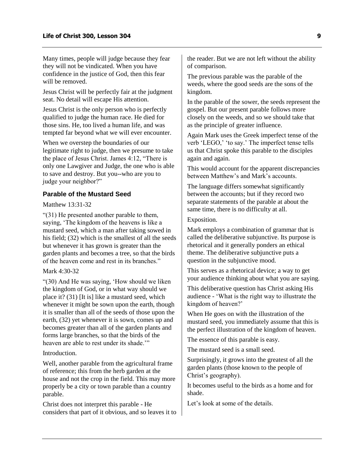Many times, people will judge because they fear they will not be vindicated. When you have confidence in the justice of God, then this fear will be removed.

Jesus Christ will be perfectly fair at the judgment seat. No detail will escape His attention.

Jesus Christ is the only person who is perfectly qualified to judge the human race. He died for those sins. He, too lived a human life, and was tempted far beyond what we will ever encounter.

When we overstep the boundaries of our legitimate right to judge, then we presume to take the place of Jesus Christ. James 4:12, "There is only one Lawgiver and Judge, the one who is able to save and destroy. But you--who are you to judge your neighbor?"

#### <span id="page-10-0"></span>**Parable of the Mustard Seed**

Matthew 13:31-32

"(31) He presented another parable to them, saying, 'The kingdom of the heavens is like a mustard seed, which a man after taking sowed in his field; (32) which is the smallest of all the seeds but whenever it has grown is greater than the garden plants and becomes a tree, so that the birds of the heaven come and rest in its branches."

#### Mark 4:30-32

"(30) And He was saying, 'How should we liken the kingdom of God, or in what way should we place it? (31) [It is] like a mustard seed, which whenever it might be sown upon the earth, though it is smaller than all of the seeds of those upon the earth, (32) yet whenever it is sown, comes up and becomes greater than all of the garden plants and forms large branches, so that the birds of the heaven are able to rest under its shade."

Introduction.

Well, another parable from the agricultural frame of reference; this from the herb garden at the house and not the crop in the field. This may more properly be a city or town parable than a country parable.

Christ does not interpret this parable - He considers that part of it obvious, and so leaves it to

the reader. But we are not left without the ability of comparison.

The previous parable was the parable of the weeds, where the good seeds are the sons of the kingdom.

In the parable of the sower, the seeds represent the gospel. But our present parable follows more closely on the weeds, and so we should take that as the principle of greater influence.

Again Mark uses the Greek imperfect tense of the verb 'LEGO,' 'to say.' The imperfect tense tells us that Christ spoke this parable to the disciples again and again.

This would account for the apparent discrepancies between Matthew's and Mark's accounts.

The language differs somewhat significantly between the accounts; but if they record two separate statements of the parable at about the same time, there is no difficulty at all.

Exposition.

Mark employs a combination of grammar that is called the deliberative subjunctive. Its purpose is rhetorical and it generally ponders an ethical theme. The deliberative subjunctive puts a question in the subjunctive mood.

This serves as a rhetorical device; a way to get your audience thinking about what you are saying.

This deliberative question has Christ asking His audience - 'What is the right way to illustrate the kingdom of heaven?'

When He goes on with the illustration of the mustard seed, you immediately assume that this is the perfect illustration of the kingdom of heaven.

The essence of this parable is easy.

The mustard seed is a small seed.

Surprisingly, it grows into the greatest of all the garden plants (those known to the people of Christ's geography).

It becomes useful to the birds as a home and for shade.

Let's look at some of the details.